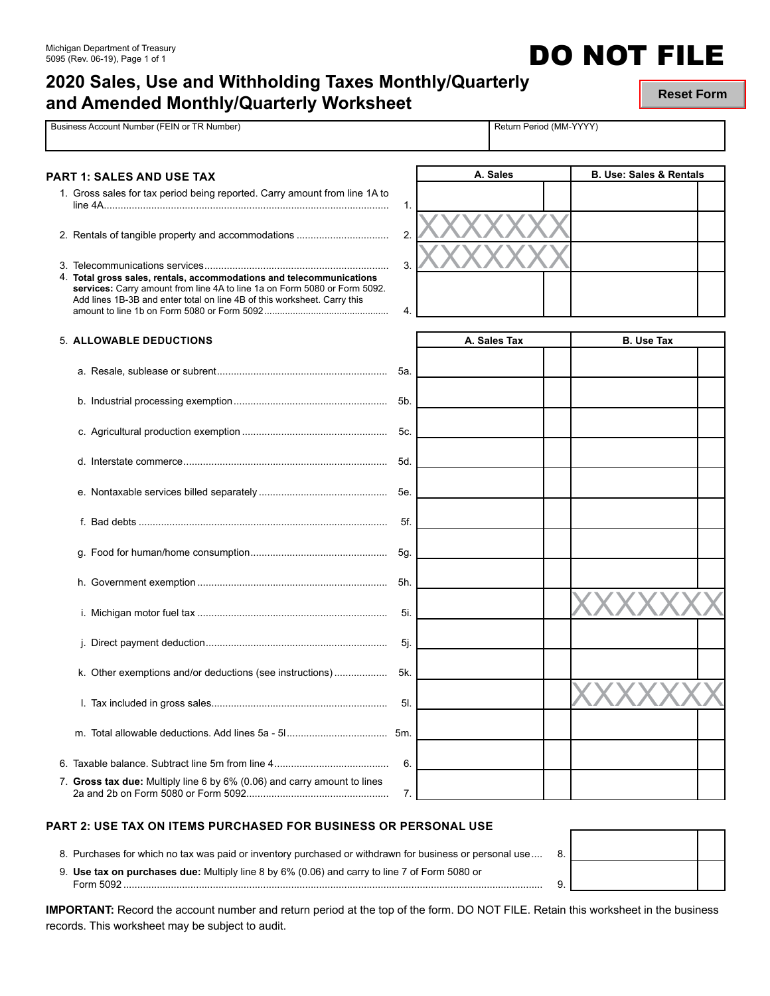## **2020 Sales, Use and Withholding Taxes Monthly/Quarterly and Amended Monthly/Quarterly Worksheet**

**Reset Form**

**DO NOT FILE** 

| Business Account Number (FEIN or TR Number)                                                                                                                                                                                   |                      | Return Period (MM-YYYY) |                                    |
|-------------------------------------------------------------------------------------------------------------------------------------------------------------------------------------------------------------------------------|----------------------|-------------------------|------------------------------------|
|                                                                                                                                                                                                                               |                      |                         | <b>B. Use: Sales &amp; Rentals</b> |
| PART 1: SALES AND USE TAX<br>1. Gross sales for tax period being reported. Carry amount from line 1A to                                                                                                                       |                      | A. Sales                |                                    |
| 4. Total gross sales, rentals, accommodations and telecommunications<br>services: Carry amount from line 4A to line 1a on Form 5080 or Form 5092.<br>Add lines 1B-3B and enter total on line 4B of this worksheet. Carry this | 1.<br>2.<br>3.<br>4. |                         |                                    |
| <b>5. ALLOWABLE DEDUCTIONS</b>                                                                                                                                                                                                |                      | A. Sales Tax            | <b>B.</b> Use Tax                  |
|                                                                                                                                                                                                                               | 5а.                  |                         |                                    |
|                                                                                                                                                                                                                               |                      |                         |                                    |
|                                                                                                                                                                                                                               | 5c.                  |                         |                                    |
|                                                                                                                                                                                                                               | 5d.                  |                         |                                    |
|                                                                                                                                                                                                                               | 5e.                  |                         |                                    |
|                                                                                                                                                                                                                               | 5f.                  |                         |                                    |
|                                                                                                                                                                                                                               |                      |                         |                                    |
|                                                                                                                                                                                                                               |                      |                         |                                    |
|                                                                                                                                                                                                                               | 5i.                  |                         |                                    |
|                                                                                                                                                                                                                               | 5j.                  |                         |                                    |
| k. Other exemptions and/or deductions (see instructions)                                                                                                                                                                      | 5k.                  |                         |                                    |
|                                                                                                                                                                                                                               | 5I.                  |                         |                                    |
|                                                                                                                                                                                                                               | 5m.                  |                         |                                    |
|                                                                                                                                                                                                                               | 6.                   |                         |                                    |
| 7. Gross tax due: Multiply line 6 by 6% (0.06) and carry amount to lines                                                                                                                                                      | 7.                   |                         |                                    |

#### **PART 2: USE TAX ON ITEMS PURCHASED FOR BUSINESS OR PERSONAL USE**

2a and 2b on Form 5080 or Form 5092................................................... 7.

8. Purchases for which no tax was paid or inventory purchased or withdrawn for business or personal use .... 8.

9. **Use tax on purchases due:** Multiply line 8 by 6% (0.06) and carry to line 7 of Form 5080 or Form 5092 ...................................................................................................................................................... 9.

| . כ |  |
|-----|--|
|     |  |

**IMPORTANT:** Record the account number and return period at the top of the form. DO NOT FILE. Retain this worksheet in the business records. This worksheet may be subject to audit.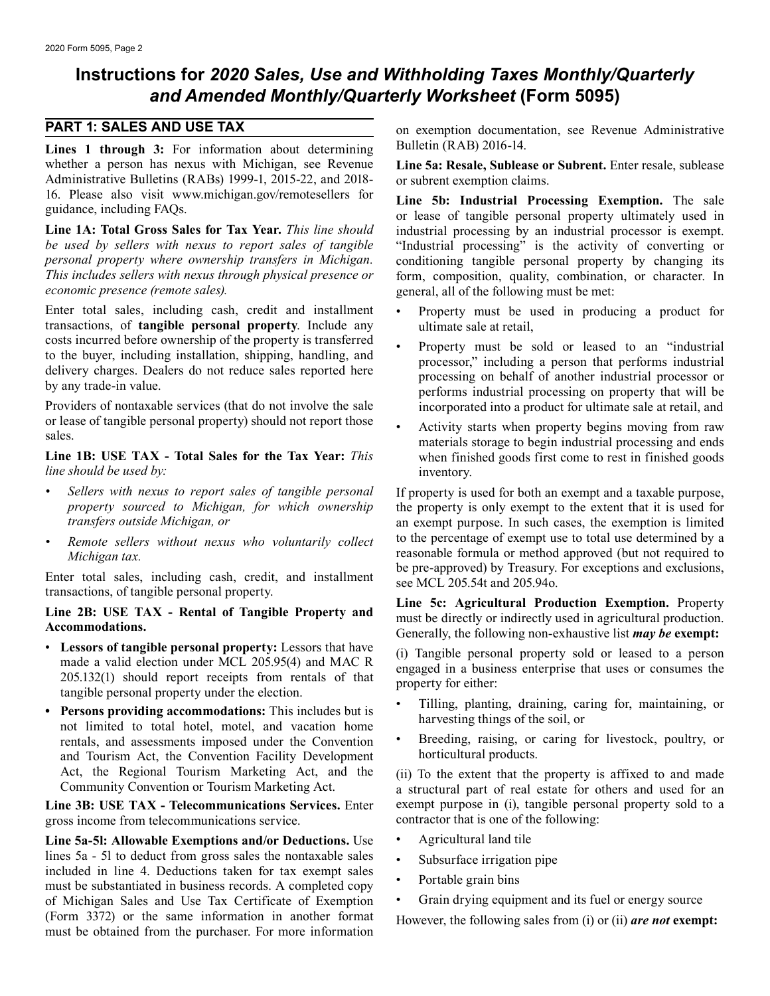### **Instructions for** *2020 Sales, Use and Withholding Taxes Monthly/Quarterly and Amended Monthly/Quarterly Worksheet* **(Form 5095)**

Lines 1 through 3: For information about determining Bulletin (RAB) 2016-14. whether a person has nexus with Michigan, see Revenue **Line 5a: Resale, Sublease or Subrent.** Enter resale, sublease Administrative Bulletins (RABs) 1999-1, 2015-22, and 2018- or subrent exemption claims.<br>16. Please also visit www.michigan.gov/remotesellers for ring 5b. Industrial Pres

Line 1A: Total Gross Sales for Tax Year. *This line should* industrial processing by an industrial processor is exempt.<br>be used by sellers with nexus to report sales of tangible "Industrial processing" is the activity of c *be used by sellers with nexus to report sales of tangible* "Industrial processing" is the activity of converting or *personal property where ownership transfers in Michigan*. conditioning tangible personal property by cha *personal property where ownership transfers in Michigan.* conditioning tangible personal property by changing its *This includes sellers with nexus through physical presence or* form, composition, quality, combination, or character. In *economic presence (remote sales)*.

Enter total sales, including cash, credit and installment • Property must be used in producing a product for transactions, of **tangible personal property**. Include any ultimate sale at retail, costs incurred before ownership of the property is transferred

Providers of nontaxable services (that do not involve the sale incorporated into a product for ultimate sale at retail, and or lease of tangible personal property) should not report those

*line should be used by:* inventory.

- 
- 

- Lessors of tangible personal property: Lessors that have<br>
made a valid election under MCL 205.95(4) and MAC R<br>
205.132(1) should report receipts from rentals of that<br>
tangible personal property under the election.<br>
 Til
- Persons providing accommodations: This includes but is<br>
not limited to total hotel, motel, and vacation home<br>
rentals, and assessments imposed under the Convention<br>
 Breeding, raising, or caring for livestock, poultry, rentals, and assessments imposed under the Convention • Breeding, raising, or and Tourism Act the Convention Facility Development borticultural products. and Tourism Act, the Convention Facility Development Act, the Regional Tourism Marketing Act, and the (ii) To the extent that the property is affixed to and made<br>Community Convention or Tourism Marketing Act.

**Line 3B: USE TAX - Telecommunications Services.** Enter exempt purpose in (i), tangible personal property sold to a property sold to a property sold to a property sold to a property sold to a property sold to a property so gross income from telecommunications service.

Line 5a-5l: Allowable Exemptions and/or Deductions. Use • Agricultural land tile lines 5a - 5l to deduct from gross sales the nontaxable sales<br>included in line 4. Deductions taken for tax exempt sales<br>must be substantiated in business records. A completed copy<br>of Michigan Sales and Use Tax Certificate of Michigan Sales and Use Tax Certificate of Exemption (Form 3372) or the same information in another format However, the following sales from (i) or (ii) **are not exempt:** must be obtained from the purchaser. For more information

**PART 1: SALES AND USE TAX** on exemption documentation, see Revenue Administrative

16. Please also visit www.michigan.gov/remotesellers for **Line 5b: Industrial Processing Exemption.** The sale or lease of tangible personal property ultimately used in **Line 1A: Total Gross Sales for Tax Year.** This line s *economic presence (remote sales).* general, all of the following must be met:

- 
- costs incurred before ownership of the property is transferred<br>to the buyer, including installation, shipping, handling, and<br>delivery charges. Dealers do not reduce sales reported here<br>by any trade-in value.<br>by any trade-i
- or lease of tangible personal property) should not report those<br>sales.<br>**Line 1B:** USE TAX Total Sales for the Tax Year: *This* when finished goods first come to rest in finished goods when finished goods first come to rest in finished goods

*Sellers with nexus to report sales of tangible personal* If property is used for both an exempt and a taxable purpose, *property sourced to Michigan, for which ownership* the property is only exempt to the extent that it *property sourced to Michigan, for which ownership* the property is only exempt to the extent that it is used for transfers outside Michigan, or **a** axempt purpose. In such cases, the exemption is limited an exempt purpose. In such cases, the exemption is limited *Remote sellers without nexus who voluntarily collect* to the percentage of exempt use to total use determined by a *Michigan tax. reasonable formula or method approved* (but not required to be pre-approved) by Treasury. For exceptions and exclusions,

Enter total sales, including cash, credit, and installment<br>transactions, of tangible personal property.<br>Line 2B: USE TAX - Rental of Tangible Property and<br>Accommodations.<br>Accommodations.<br>Cenerally, the following non-exhaus

- 
- 

a structural part of real estate for others and used for an exempt purpose in (i), tangible personal property sold to a

- 
- 
- 
-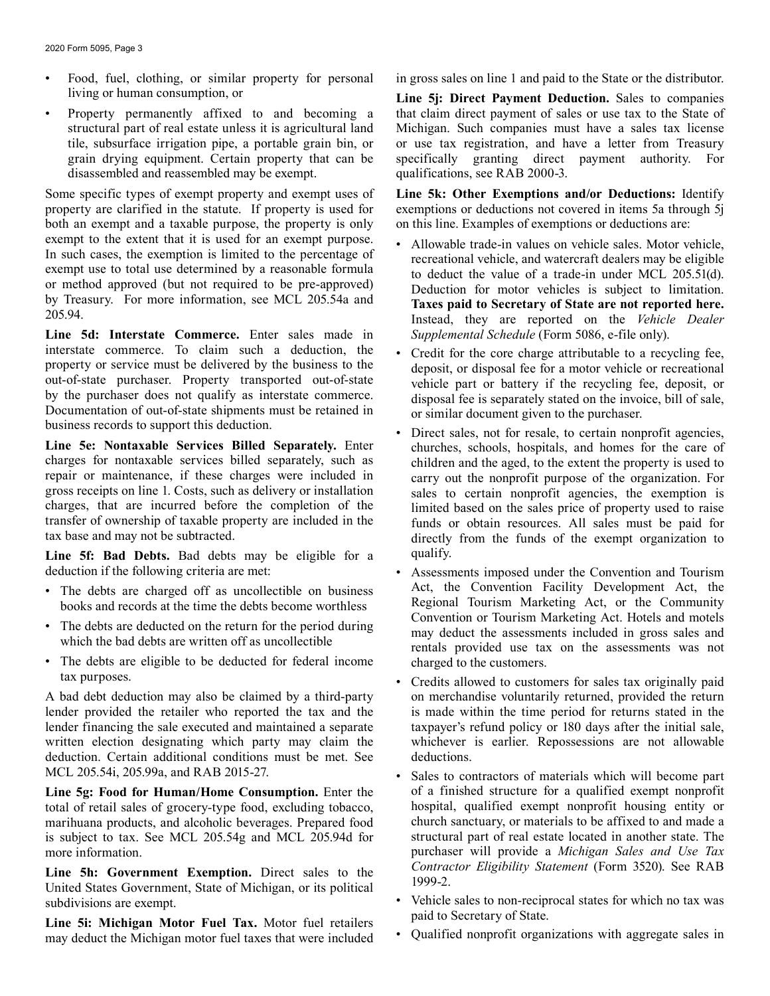- living or human consumption, or **Line 5j: Direct Payment Deduction.** Sales to companies
- disassembled and reassembled may be exempt. qualifications, see RAB 2000-3.

both an exempt and a taxable purpose, the property is only exempt to the extent that it is used for an exempt purpose.

**Line 5d: Interstate Commerce.** Enter sales made in *Supplemental Schedule* (Form 5086, e-file only). interstate commerce. To claim such a deduction, the<br>
property or service must be delivered by the business to the<br>
out-of-state purchaser. Property transported out-of-state<br>
by the purchaser does not qualify as interstate

**Line 5e: Nontaxable Services Billed Separately.** Enter churches, schools, hospitals, and homes for the care of charges for nontaxable services billed separately, such as children and the aged to the extent the property is charges for nontaxable services billed separately, such as children and the aged, to the extent the property is used to repair or maintenance, if these charges were included in carry out the nonprofit purpose of the organi repair or maintenance, if these charges were included in carry out the nonprofit purpose of the organization. For gross receipts on line 1. Costs, such as delivery or installation sales to certain nonprofit agencies the ex gross receipts on line 1. Costs, such as delivery or installation sales to certain nonprofit agencies, the exemption is charges, that are incurred before the completion of the limited based on the sales price of property u charges, that are incurred before the completion of the limited based on the sales price of property used to raise<br>transfer of ownership of taxable property are included in the funds or obtain resources. All sales must be transfer of ownership of taxable property are included in the funds or obtain resources. All sales must be paid for tax base and may not be subtracted.

**Line 5f: Bad Debts.** Bad debts may be eligible for a qualify.

- The debts are charged off as uncollectible on business
- 
- The debts are eligible to be deducted for federal income charged to the customers.

lender provided the retailer who reported the tax and the is made within the time period for returns stated in the lender financing the sale executed and maintained a separate tax and the state in the initial sale, lender financing the sale executed and maintained a separate taxpayer's refund policy or 180 days after the initial sale, written election designating which party may claim the whichever is earlier. Repossessions are not a written election designating which party may claim the deduction. Certain additional conditions must be met. See deductions. MCL 205.54i, 205.99a, and RAB 2015-27. • Sales to contractors of materials which will become part

total of retail sales of grocery-type food, excluding tobacco, hospital, qualified exempt nonprofit housing entity or marihuana products, and alcoholic beverages. Prepared food church sanctuary, or materials to be affixed to and made a<br>is subject to tax. See MCL 205.54g and MCL 205.94d for structural part of real estate located in another is subject to tax. See MCL 205.54g and MCL 205.94d for

**Line 5h: Government Exemption.** Direct sales to the Contractor United States Government, State of Michigan, or its political 1999-2.

Line 5i: Michigan Motor Fuel Tax. Motor fuel retailers paid to Secretary of State.<br>
may deduct the Michigan motor fuel taxes that were included • Qualified nonprofit organizations with aggregate sales in may deduct the Michigan motor fuel taxes that were included

• Food, fuel, clothing, or similar property for personal in gross sales on line 1 and paid to the State or the distributor.

• Property permanently affixed to and becoming a that claim direct payment of sales or use tax to the State of structural part of real estate unless it is agricultural land Michigan. Such companies must have a sales tax license tile, subsurface irrigation pipe, a portable grain bin, or or use tax registration, and have a letter from Treasury grain drying equipment. Certain property that can be specifically granting direct payment authority. For

Some specific types of exempt property and exempt uses of **Line 5k: Other Exemptions and/or Deductions:** Identify property are clarified in the statute. If property is used for exemptions or deductions not covered in items exemptions or deductions not covered in items 5a through 5j on this line. Examples of exemptions or deductions are:

- exempt to the extent that it is used for an exempt purpose.<br>
In such cases, the exemption is limited to the percentage of<br>
exempt use to total use determined by a reasonable formula<br>
or method approved (but not required to
	-
	- directly from the funds of the exempt organization to
- deduction if the following criteria are met:<br>
 Assessments imposed under the Convention and Tourism<br>
 Act, the Convention Facility Development Act, the books and records at the time the debts become worthless Regional Tourism Marketing Act, or the Community<br>Convention or Tourism Marketing Act. Hotels and motels • The debts are deducted on the return for the period during<br>which the bad debts are written off as uncollectible<br>retals provided use tax on the assessments was not
- tax purposes. Credits allowed to customers for sales tax originally paid A bad debt deduction may also be claimed by a third-party on merchandise voluntarily returned, provided the return
- **Line 5g: Food for Human/Home Consumption.** Enter the of a finished structure for a qualified exempt nonprofit total of retail sales of grocery-type food, excluding tobacco. hospital, qualified exempt nonprofit housing ent more information.<br> **purchaser** will provide a *Michigan Sales and Use Tax*<br> **Contractor** Eligibility Statement (Form 3520). See RAB
- subdivisions are exempt.<br>
 Vehicle sales to non-reciprocal states for which no tax was<br>
paid to Secretary of State.
	-